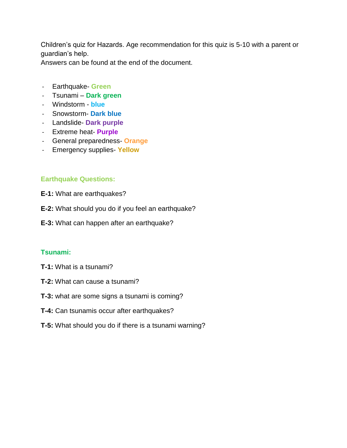Children's quiz for Hazards. Age recommendation for this quiz is 5-10 with a parent or guardian's help.

Answers can be found at the end of the document.

- Earthquake- **Green**
- Tsunami **Dark green**
- Windstorm **blue**
- Snowstorm- **Dark blue**
- Landslide- **Dark purple**
- Extreme heat- **Purple**
- General preparedness- **Orange**
- Emergency supplies- **Yellow**

#### **Earthquake Questions:**

- **E-1:** What are earthquakes?
- **E-2:** What should you do if you feel an earthquake?
- **E-3:** What can happen after an earthquake?

#### **Tsunami:**

- **T-1:** What is a tsunami?
- **T-2:** What can cause a tsunami?
- **T-3:** what are some signs a tsunami is coming?
- **T-4:** Can tsunamis occur after earthquakes?
- **T-5:** What should you do if there is a tsunami warning?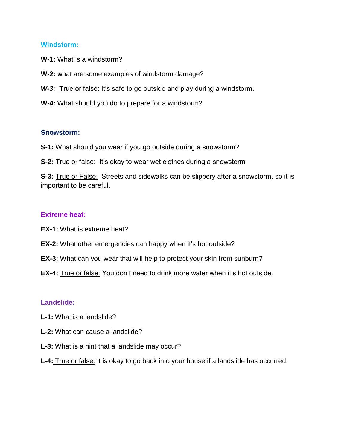#### **Windstorm:**

**W-1:** What is a windstorm?

**W-2:** what are some examples of windstorm damage?

W-3: True or false: It's safe to go outside and play during a windstorm.

**W-4:** What should you do to prepare for a windstorm?

#### **Snowstorm:**

**S-1:** What should you wear if you go outside during a snowstorm?

**S-2:** True or false: It's okay to wear wet clothes during a snowstorm

**S-3:** True or False: Streets and sidewalks can be slippery after a snowstorm, so it is important to be careful.

#### **Extreme heat:**

**EX-1:** What is extreme heat?

- **EX-2:** What other emergencies can happy when it's hot outside?
- **EX-3:** What can you wear that will help to protect your skin from sunburn?
- **EX-4:** True or false: You don't need to drink more water when it's hot outside.

#### **Landslide:**

- **L-1:** What is a landslide?
- **L-2:** What can cause a landslide?
- **L-3:** What is a hint that a landslide may occur?

#### **L-4:** True or false: it is okay to go back into your house if a landslide has occurred.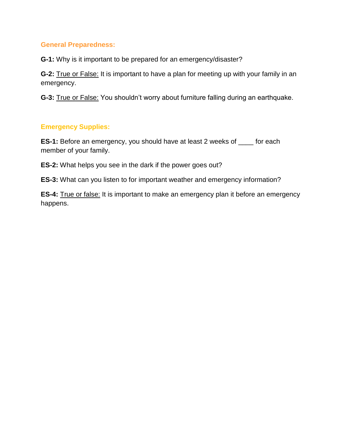#### **General Preparedness:**

**G-1:** Why is it important to be prepared for an emergency/disaster?

**G-2:** True or False: It is important to have a plan for meeting up with your family in an emergency.

**G-3:** True or False: You shouldn't worry about furniture falling during an earthquake.

### **Emergency Supplies:**

**ES-1:** Before an emergency, you should have at least 2 weeks of \_\_\_\_ for each member of your family.

**ES-2:** What helps you see in the dark if the power goes out?

**ES-3:** What can you listen to for important weather and emergency information?

**ES-4:** True or false: It is important to make an emergency plan it before an emergency happens.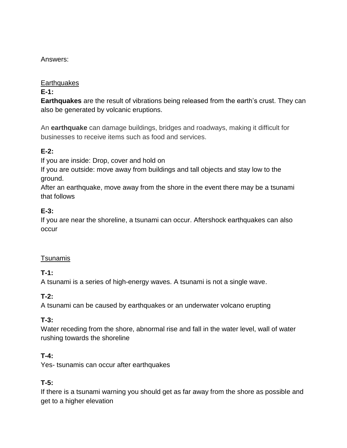### Answers:

#### **Earthquakes**

### **E-1:**

**Earthquakes** are the result of vibrations being released from the earth's crust. They can also be generated by volcanic eruptions.

An **earthquake** can damage buildings, bridges and roadways, making it difficult for businesses to receive items such as food and services.

# **E-2:**

If you are inside: Drop, cover and hold on

If you are outside: move away from buildings and tall objects and stay low to the ground.

After an earthquake, move away from the shore in the event there may be a tsunami that follows

# **E-3:**

If you are near the shoreline, a tsunami can occur. Aftershock earthquakes can also occur

### Tsunamis

### **T-1:**

A tsunami is a series of high-energy waves. A tsunami is not a single wave.

### **T-2:**

A tsunami can be caused by earthquakes or an underwater volcano erupting

### **T-3:**

Water receding from the shore, abnormal rise and fall in the water level, wall of water rushing towards the shoreline

### **T-4:**

Yes- tsunamis can occur after earthquakes

### **T-5:**

If there is a tsunami warning you should get as far away from the shore as possible and get to a higher elevation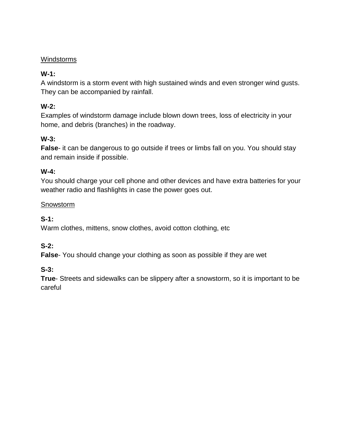### Windstorms

# **W-1:**

A windstorm is a storm event with high sustained winds and even stronger wind gusts. They can be accompanied by rainfall.

### **W-2:**

Examples of windstorm damage include blown down trees, loss of electricity in your home, and debris (branches) in the roadway.

### **W-3:**

**False**- it can be dangerous to go outside if trees or limbs fall on you. You should stay and remain inside if possible.

#### **W-4:**

You should charge your cell phone and other devices and have extra batteries for your weather radio and flashlights in case the power goes out.

#### **Snowstorm**

**S-1:**

Warm clothes, mittens, snow clothes, avoid cotton clothing, etc

### **S-2:**

**False**- You should change your clothing as soon as possible if they are wet

#### **S-3:**

**True**- Streets and sidewalks can be slippery after a snowstorm, so it is important to be careful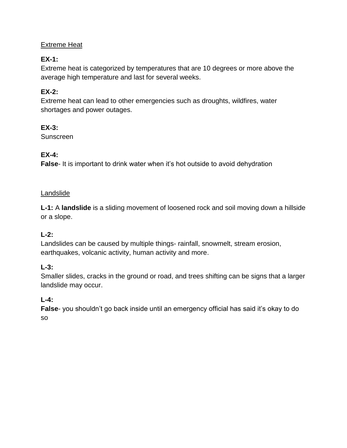### Extreme Heat

# **EX-1:**

Extreme heat is categorized by temperatures that are 10 degrees or more above the average high temperature and last for several weeks.

# **EX-2:**

Extreme heat can lead to other emergencies such as droughts, wildfires, water shortages and power outages.

### **EX-3:**

Sunscreen

### **EX-4:**

**False**- It is important to drink water when it's hot outside to avoid dehydration

### Landslide

**L-1:** A **landslide** is a sliding movement of loosened rock and soil moving down a hillside or a slope.

### **L-2:**

Landslides can be caused by multiple things- rainfall, snowmelt, stream erosion, earthquakes, volcanic activity, human activity and more.

### **L-3:**

Smaller slides, cracks in the ground or road, and trees shifting can be signs that a larger landslide may occur.

# **L-4:**

**False**- you shouldn't go back inside until an emergency official has said it's okay to do so